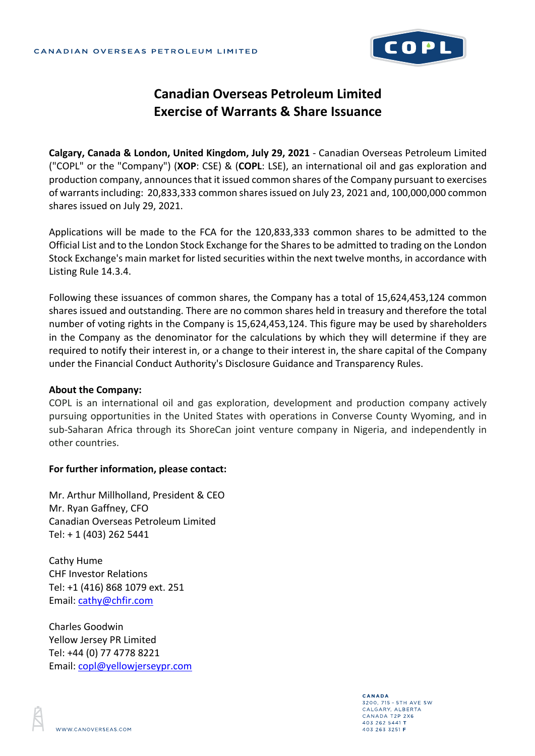

## **Canadian Overseas Petroleum Limited Exercise of Warrants & Share Issuance**

**Calgary, Canada & London, United Kingdom, July 29, 2021** - Canadian Overseas Petroleum Limited ("COPL" or the "Company") (**XOP**: CSE) & (**COPL**: LSE), an international oil and gas exploration and production company, announces that it issued common shares of the Company pursuant to exercises of warrants including: 20,833,333 common shares issued on July 23, 2021 and, 100,000,000 common shares issued on July 29, 2021.

Applications will be made to the FCA for the 120,833,333 common shares to be admitted to the Official List and to the London Stock Exchange for the Shares to be admitted to trading on the London Stock Exchange's main market for listed securities within the next twelve months, in accordance with Listing Rule 14.3.4.

Following these issuances of common shares, the Company has a total of 15,624,453,124 common shares issued and outstanding. There are no common shares held in treasury and therefore the total number of voting rights in the Company is 15,624,453,124. This figure may be used by shareholders in the Company as the denominator for the calculations by which they will determine if they are required to notify their interest in, or a change to their interest in, the share capital of the Company under the Financial Conduct Authority's Disclosure Guidance and Transparency Rules.

## **About the Company:**

COPL is an international oil and gas exploration, development and production company actively pursuing opportunities in the United States with operations in Converse County Wyoming, and in sub-Saharan Africa through its ShoreCan joint venture company in Nigeria, and independently in other countries.

## **For further information, please contact:**

Mr. Arthur Millholland, President & CEO Mr. Ryan Gaffney, CFO Canadian Overseas Petroleum Limited Tel: + 1 (403) 262 5441

Cathy Hume CHF Investor Relations Tel: +1 (416) 868 1079 ext. 251 Email: cathy@chfir.com

Charles Goodwin Yellow Jersey PR Limited Tel: +44 (0) 77 4778 8221 Email: copl@yellowjerseypr.com